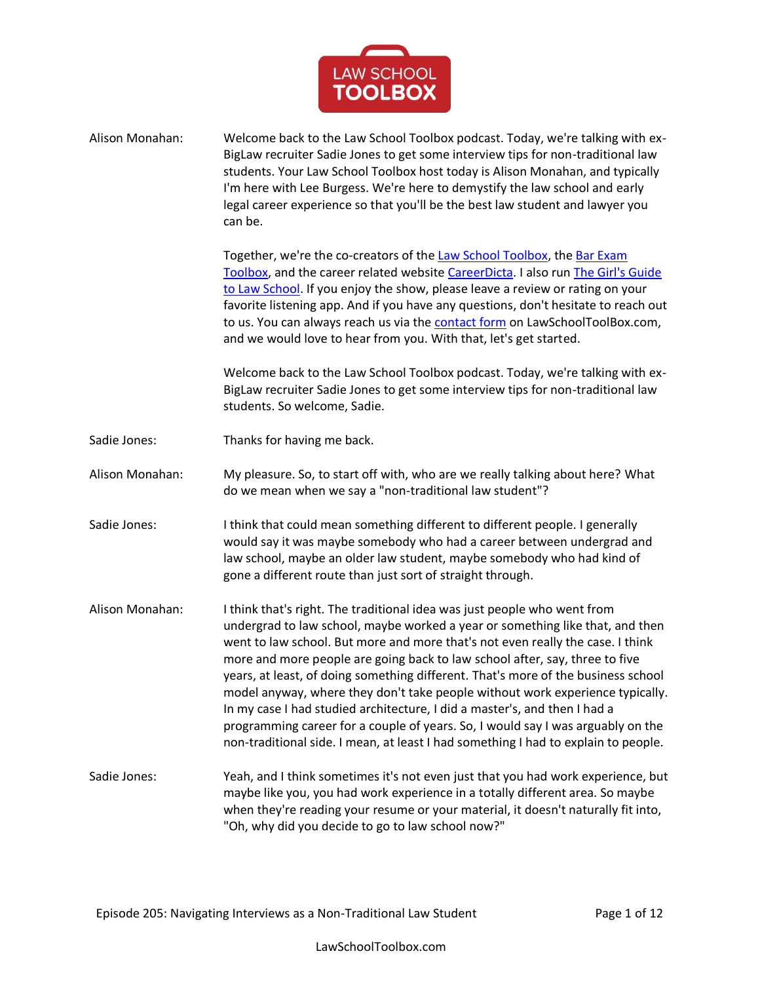

| Alison Monahan: | Welcome back to the Law School Toolbox podcast. Today, we're talking with ex-<br>BigLaw recruiter Sadie Jones to get some interview tips for non-traditional law<br>students. Your Law School Toolbox host today is Alison Monahan, and typically<br>I'm here with Lee Burgess. We're here to demystify the law school and early<br>legal career experience so that you'll be the best law student and lawyer you<br>can be.                                                                                                                                                                                                                                                                                                                           |
|-----------------|--------------------------------------------------------------------------------------------------------------------------------------------------------------------------------------------------------------------------------------------------------------------------------------------------------------------------------------------------------------------------------------------------------------------------------------------------------------------------------------------------------------------------------------------------------------------------------------------------------------------------------------------------------------------------------------------------------------------------------------------------------|
|                 | Together, we're the co-creators of the Law School Toolbox, the Bar Exam<br>Toolbox, and the career related website CareerDicta. I also run The Girl's Guide<br>to Law School. If you enjoy the show, please leave a review or rating on your<br>favorite listening app. And if you have any questions, don't hesitate to reach out<br>to us. You can always reach us via the contact form on LawSchoolToolBox.com,<br>and we would love to hear from you. With that, let's get started.                                                                                                                                                                                                                                                                |
|                 | Welcome back to the Law School Toolbox podcast. Today, we're talking with ex-<br>BigLaw recruiter Sadie Jones to get some interview tips for non-traditional law<br>students. So welcome, Sadie.                                                                                                                                                                                                                                                                                                                                                                                                                                                                                                                                                       |
| Sadie Jones:    | Thanks for having me back.                                                                                                                                                                                                                                                                                                                                                                                                                                                                                                                                                                                                                                                                                                                             |
| Alison Monahan: | My pleasure. So, to start off with, who are we really talking about here? What<br>do we mean when we say a "non-traditional law student"?                                                                                                                                                                                                                                                                                                                                                                                                                                                                                                                                                                                                              |
| Sadie Jones:    | I think that could mean something different to different people. I generally<br>would say it was maybe somebody who had a career between undergrad and<br>law school, maybe an older law student, maybe somebody who had kind of<br>gone a different route than just sort of straight through.                                                                                                                                                                                                                                                                                                                                                                                                                                                         |
| Alison Monahan: | I think that's right. The traditional idea was just people who went from<br>undergrad to law school, maybe worked a year or something like that, and then<br>went to law school. But more and more that's not even really the case. I think<br>more and more people are going back to law school after, say, three to five<br>years, at least, of doing something different. That's more of the business school<br>model anyway, where they don't take people without work experience typically.<br>In my case I had studied architecture, I did a master's, and then I had a<br>programming career for a couple of years. So, I would say I was arguably on the<br>non-traditional side. I mean, at least I had something I had to explain to people. |
| Sadie Jones:    | Yeah, and I think sometimes it's not even just that you had work experience, but<br>maybe like you, you had work experience in a totally different area. So maybe<br>when they're reading your resume or your material, it doesn't naturally fit into,<br>"Oh, why did you decide to go to law school now?"                                                                                                                                                                                                                                                                                                                                                                                                                                            |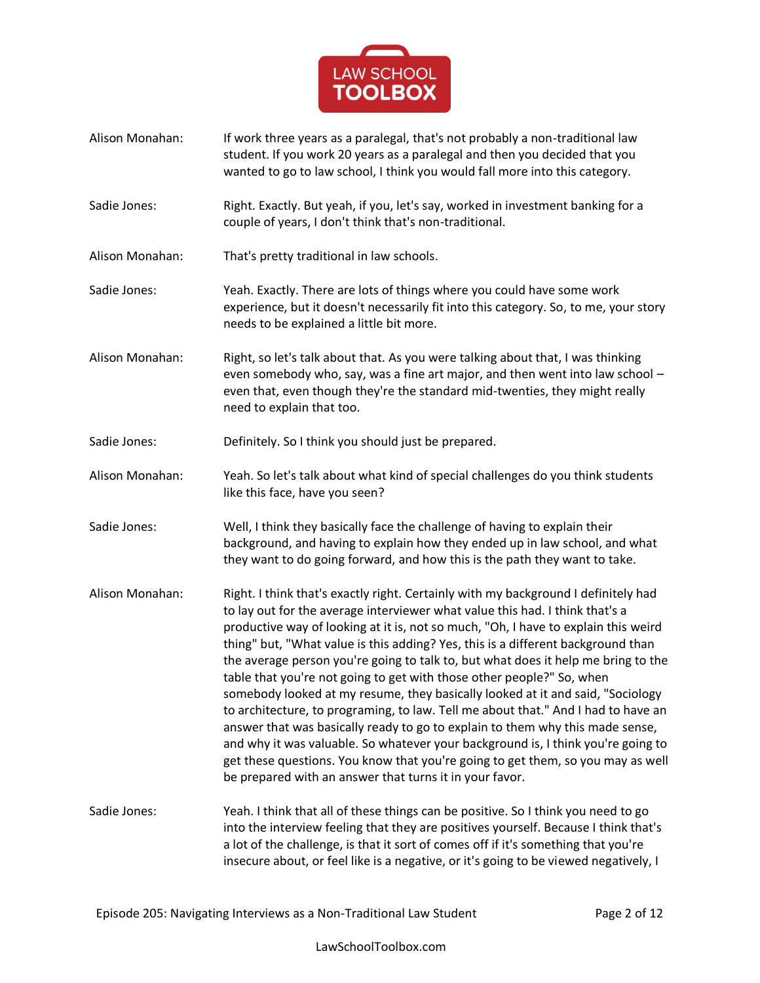

- Alison Monahan: If work three years as a paralegal, that's not probably a non-traditional law student. If you work 20 years as a paralegal and then you decided that you wanted to go to law school, I think you would fall more into this category.
- Sadie Jones: Right. Exactly. But yeah, if you, let's say, worked in investment banking for a couple of years, I don't think that's non-traditional.
- Alison Monahan: That's pretty traditional in law schools.
- Sadie Jones: Yeah. Exactly. There are lots of things where you could have some work experience, but it doesn't necessarily fit into this category. So, to me, your story needs to be explained a little bit more.
- Alison Monahan: Right, so let's talk about that. As you were talking about that, I was thinking even somebody who, say, was a fine art major, and then went into law school – even that, even though they're the standard mid-twenties, they might really need to explain that too.
- Sadie Jones: Definitely. So I think you should just be prepared.
- Alison Monahan: Yeah. So let's talk about what kind of special challenges do you think students like this face, have you seen?
- Sadie Jones: Well, I think they basically face the challenge of having to explain their background, and having to explain how they ended up in law school, and what they want to do going forward, and how this is the path they want to take.
- Alison Monahan: Right. I think that's exactly right. Certainly with my background I definitely had to lay out for the average interviewer what value this had. I think that's a productive way of looking at it is, not so much, "Oh, I have to explain this weird thing" but, "What value is this adding? Yes, this is a different background than the average person you're going to talk to, but what does it help me bring to the table that you're not going to get with those other people?" So, when somebody looked at my resume, they basically looked at it and said, "Sociology to architecture, to programing, to law. Tell me about that." And I had to have an answer that was basically ready to go to explain to them why this made sense, and why it was valuable. So whatever your background is, I think you're going to get these questions. You know that you're going to get them, so you may as well be prepared with an answer that turns it in your favor.
- Sadie Jones: Yeah. I think that all of these things can be positive. So I think you need to go into the interview feeling that they are positives yourself. Because I think that's a lot of the challenge, is that it sort of comes off if it's something that you're insecure about, or feel like is a negative, or it's going to be viewed negatively, I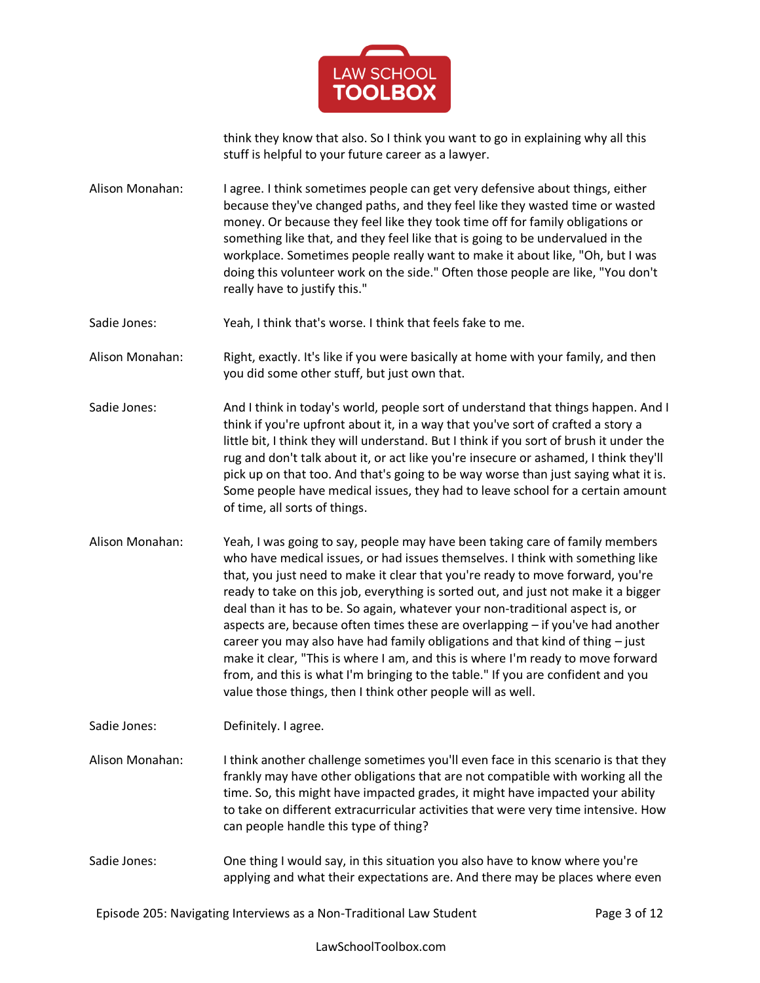

think they know that also. So I think you want to go in explaining why all this stuff is helpful to your future career as a lawyer.

Alison Monahan: I agree. I think sometimes people can get very defensive about things, either because they've changed paths, and they feel like they wasted time or wasted money. Or because they feel like they took time off for family obligations or something like that, and they feel like that is going to be undervalued in the workplace. Sometimes people really want to make it about like, "Oh, but I was doing this volunteer work on the side." Often those people are like, "You don't really have to justify this."

Sadie Jones: Yeah, I think that's worse. I think that feels fake to me.

Alison Monahan: Right, exactly. It's like if you were basically at home with your family, and then you did some other stuff, but just own that.

- Sadie Jones: And I think in today's world, people sort of understand that things happen. And I think if you're upfront about it, in a way that you've sort of crafted a story a little bit, I think they will understand. But I think if you sort of brush it under the rug and don't talk about it, or act like you're insecure or ashamed, I think they'll pick up on that too. And that's going to be way worse than just saying what it is. Some people have medical issues, they had to leave school for a certain amount of time, all sorts of things.
- Alison Monahan: Yeah, I was going to say, people may have been taking care of family members who have medical issues, or had issues themselves. I think with something like that, you just need to make it clear that you're ready to move forward, you're ready to take on this job, everything is sorted out, and just not make it a bigger deal than it has to be. So again, whatever your non-traditional aspect is, or aspects are, because often times these are overlapping – if you've had another career you may also have had family obligations and that kind of thing – just make it clear, "This is where I am, and this is where I'm ready to move forward from, and this is what I'm bringing to the table." If you are confident and you value those things, then I think other people will as well.

Sadie Jones: Definitely. I agree.

Alison Monahan: I think another challenge sometimes you'll even face in this scenario is that they frankly may have other obligations that are not compatible with working all the time. So, this might have impacted grades, it might have impacted your ability to take on different extracurricular activities that were very time intensive. How can people handle this type of thing?

Sadie Jones: One thing I would say, in this situation you also have to know where you're applying and what their expectations are. And there may be places where even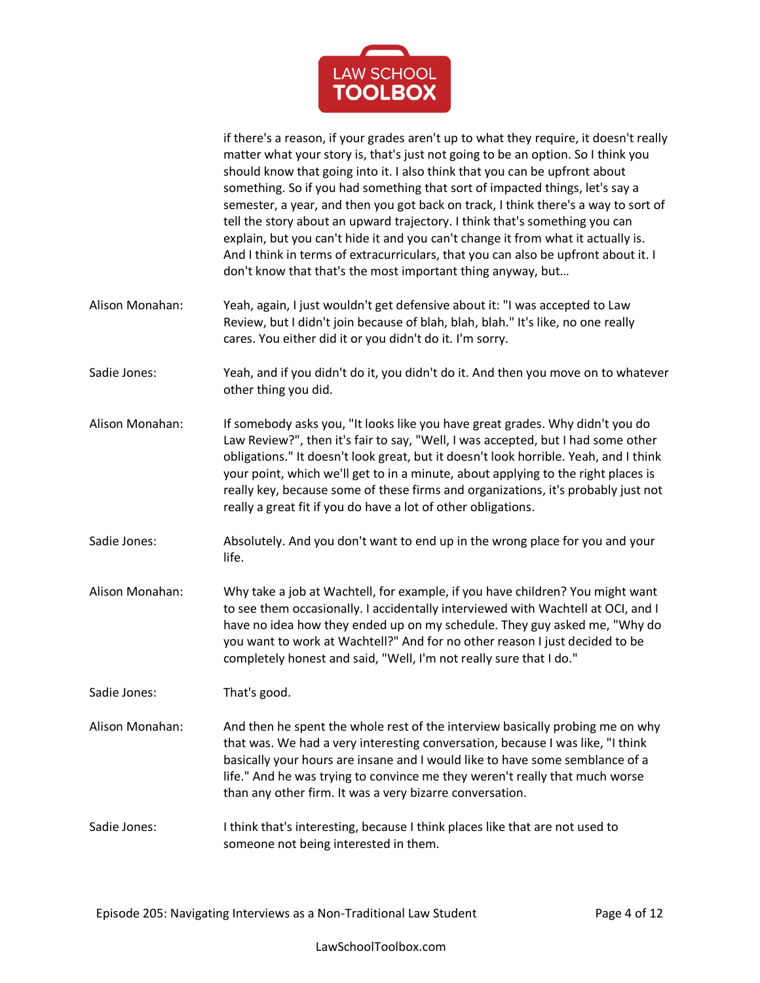

if there's a reason, if your grades aren't up to what they require, it doesn't really matter what your story is, that's just not going to be an option. So I think you should know that going into it. I also think that you can be upfront about something. So if you had something that sort of impacted things, let's say a semester, a year, and then you got back on track, I think there's a way to sort of tell the story about an upward trajectory. I think that's something you can explain, but you can't hide it and you can't change it from what it actually is. And I think in terms of extracurriculars, that you can also be upfront about it. I don't know that that's the most important thing anyway, but…

- Alison Monahan: Yeah, again, I just wouldn't get defensive about it: "I was accepted to Law Review, but I didn't join because of blah, blah, blah." It's like, no one really cares. You either did it or you didn't do it. I'm sorry.
- Sadie Jones: Yeah, and if you didn't do it, you didn't do it. And then you move on to whatever other thing you did.
- Alison Monahan: If somebody asks you, "It looks like you have great grades. Why didn't you do Law Review?", then it's fair to say, "Well, I was accepted, but I had some other obligations." It doesn't look great, but it doesn't look horrible. Yeah, and I think your point, which we'll get to in a minute, about applying to the right places is really key, because some of these firms and organizations, it's probably just not really a great fit if you do have a lot of other obligations.
- Sadie Jones: Absolutely. And you don't want to end up in the wrong place for you and your life.
- Alison Monahan: Why take a job at Wachtell, for example, if you have children? You might want to see them occasionally. I accidentally interviewed with Wachtell at OCI, and I have no idea how they ended up on my schedule. They guy asked me, "Why do you want to work at Wachtell?" And for no other reason I just decided to be completely honest and said, "Well, I'm not really sure that I do."
- Sadie Jones: That's good.
- Alison Monahan: And then he spent the whole rest of the interview basically probing me on why that was. We had a very interesting conversation, because I was like, "I think basically your hours are insane and I would like to have some semblance of a life." And he was trying to convince me they weren't really that much worse than any other firm. It was a very bizarre conversation.
- Sadie Jones: I think that's interesting, because I think places like that are not used to someone not being interested in them.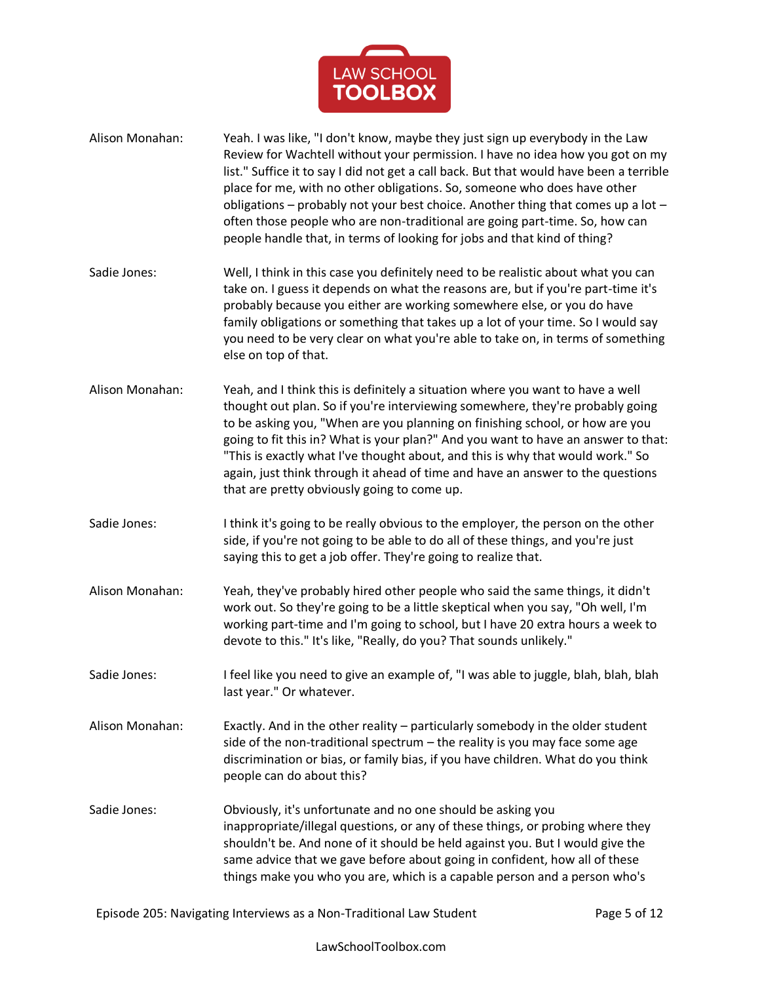

- Alison Monahan: Yeah. I was like, "I don't know, maybe they just sign up everybody in the Law Review for Wachtell without your permission. I have no idea how you got on my list." Suffice it to say I did not get a call back. But that would have been a terrible place for me, with no other obligations. So, someone who does have other obligations – probably not your best choice. Another thing that comes up a lot – often those people who are non-traditional are going part-time. So, how can people handle that, in terms of looking for jobs and that kind of thing?
- Sadie Jones: Well, I think in this case you definitely need to be realistic about what you can take on. I guess it depends on what the reasons are, but if you're part-time it's probably because you either are working somewhere else, or you do have family obligations or something that takes up a lot of your time. So I would say you need to be very clear on what you're able to take on, in terms of something else on top of that.
- Alison Monahan: Yeah, and I think this is definitely a situation where you want to have a well thought out plan. So if you're interviewing somewhere, they're probably going to be asking you, "When are you planning on finishing school, or how are you going to fit this in? What is your plan?" And you want to have an answer to that: "This is exactly what I've thought about, and this is why that would work." So again, just think through it ahead of time and have an answer to the questions that are pretty obviously going to come up.
- Sadie Jones: I think it's going to be really obvious to the employer, the person on the other side, if you're not going to be able to do all of these things, and you're just saying this to get a job offer. They're going to realize that.
- Alison Monahan: Yeah, they've probably hired other people who said the same things, it didn't work out. So they're going to be a little skeptical when you say, "Oh well, I'm working part-time and I'm going to school, but I have 20 extra hours a week to devote to this." It's like, "Really, do you? That sounds unlikely."
- Sadie Jones: I feel like you need to give an example of, "I was able to juggle, blah, blah, blah last year." Or whatever.
- Alison Monahan: Exactly. And in the other reality particularly somebody in the older student side of the non-traditional spectrum – the reality is you may face some age discrimination or bias, or family bias, if you have children. What do you think people can do about this?
- Sadie Jones: Obviously, it's unfortunate and no one should be asking you inappropriate/illegal questions, or any of these things, or probing where they shouldn't be. And none of it should be held against you. But I would give the same advice that we gave before about going in confident, how all of these things make you who you are, which is a capable person and a person who's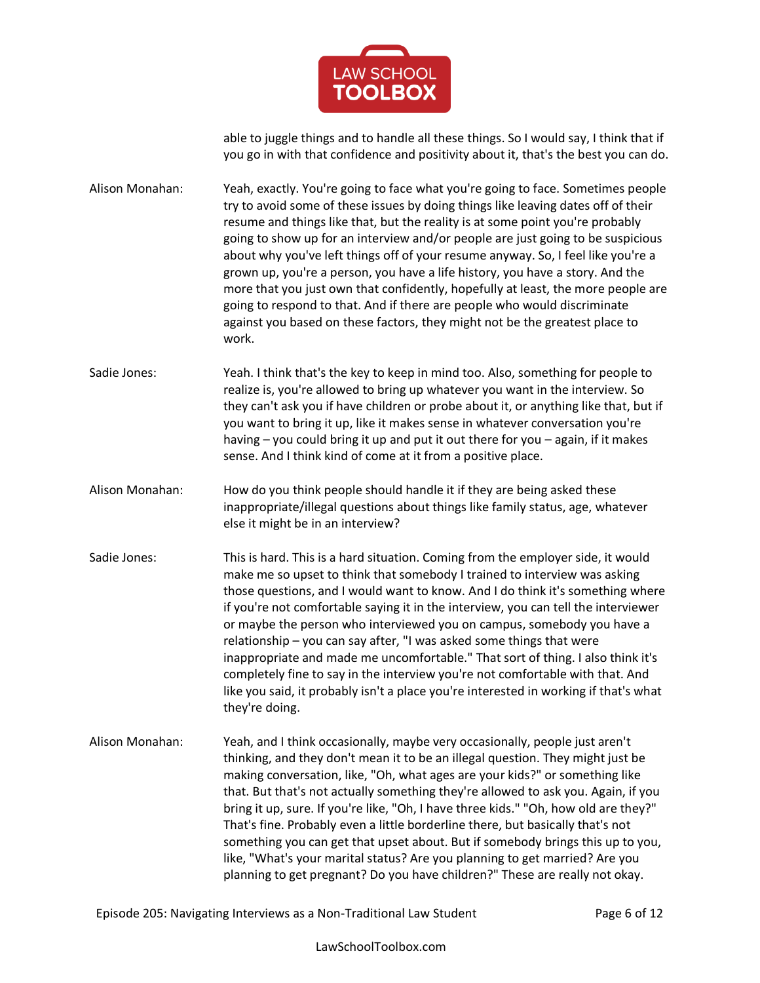

able to juggle things and to handle all these things. So I would say, I think that if you go in with that confidence and positivity about it, that's the best you can do.

Alison Monahan: Yeah, exactly. You're going to face what you're going to face. Sometimes people try to avoid some of these issues by doing things like leaving dates off of their resume and things like that, but the reality is at some point you're probably going to show up for an interview and/or people are just going to be suspicious about why you've left things off of your resume anyway. So, I feel like you're a grown up, you're a person, you have a life history, you have a story. And the more that you just own that confidently, hopefully at least, the more people are going to respond to that. And if there are people who would discriminate against you based on these factors, they might not be the greatest place to work.

Sadie Jones: Yeah. I think that's the key to keep in mind too. Also, something for people to realize is, you're allowed to bring up whatever you want in the interview. So they can't ask you if have children or probe about it, or anything like that, but if you want to bring it up, like it makes sense in whatever conversation you're having – you could bring it up and put it out there for you – again, if it makes sense. And I think kind of come at it from a positive place.

Alison Monahan: How do you think people should handle it if they are being asked these inappropriate/illegal questions about things like family status, age, whatever else it might be in an interview?

- Sadie Jones: This is hard. This is a hard situation. Coming from the employer side, it would make me so upset to think that somebody I trained to interview was asking those questions, and I would want to know. And I do think it's something where if you're not comfortable saying it in the interview, you can tell the interviewer or maybe the person who interviewed you on campus, somebody you have a relationship – you can say after, "I was asked some things that were inappropriate and made me uncomfortable." That sort of thing. I also think it's completely fine to say in the interview you're not comfortable with that. And like you said, it probably isn't a place you're interested in working if that's what they're doing.
- Alison Monahan: Yeah, and I think occasionally, maybe very occasionally, people just aren't thinking, and they don't mean it to be an illegal question. They might just be making conversation, like, "Oh, what ages are your kids?" or something like that. But that's not actually something they're allowed to ask you. Again, if you bring it up, sure. If you're like, "Oh, I have three kids." "Oh, how old are they?" That's fine. Probably even a little borderline there, but basically that's not something you can get that upset about. But if somebody brings this up to you, like, "What's your marital status? Are you planning to get married? Are you planning to get pregnant? Do you have children?" These are really not okay.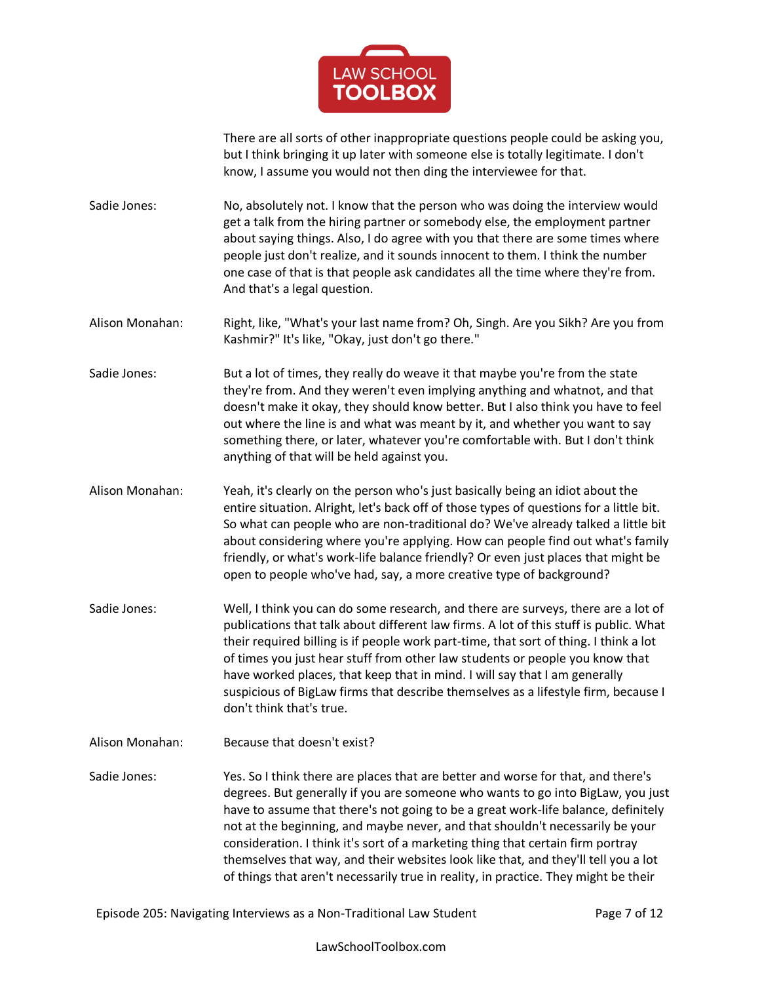

There are all sorts of other inappropriate questions people could be asking you, but I think bringing it up later with someone else is totally legitimate. I don't know, I assume you would not then ding the interviewee for that.

Sadie Jones: No, absolutely not. I know that the person who was doing the interview would get a talk from the hiring partner or somebody else, the employment partner about saying things. Also, I do agree with you that there are some times where people just don't realize, and it sounds innocent to them. I think the number one case of that is that people ask candidates all the time where they're from. And that's a legal question.

Alison Monahan: Right, like, "What's your last name from? Oh, Singh. Are you Sikh? Are you from Kashmir?" It's like, "Okay, just don't go there."

Sadie Jones: But a lot of times, they really do weave it that maybe you're from the state they're from. And they weren't even implying anything and whatnot, and that doesn't make it okay, they should know better. But I also think you have to feel out where the line is and what was meant by it, and whether you want to say something there, or later, whatever you're comfortable with. But I don't think anything of that will be held against you.

- Alison Monahan: Yeah, it's clearly on the person who's just basically being an idiot about the entire situation. Alright, let's back off of those types of questions for a little bit. So what can people who are non-traditional do? We've already talked a little bit about considering where you're applying. How can people find out what's family friendly, or what's work-life balance friendly? Or even just places that might be open to people who've had, say, a more creative type of background?
- Sadie Jones: Well, I think you can do some research, and there are surveys, there are a lot of publications that talk about different law firms. A lot of this stuff is public. What their required billing is if people work part-time, that sort of thing. I think a lot of times you just hear stuff from other law students or people you know that have worked places, that keep that in mind. I will say that I am generally suspicious of BigLaw firms that describe themselves as a lifestyle firm, because I don't think that's true.
- Alison Monahan: Because that doesn't exist?

Sadie Jones: Yes. So I think there are places that are better and worse for that, and there's degrees. But generally if you are someone who wants to go into BigLaw, you just have to assume that there's not going to be a great work-life balance, definitely not at the beginning, and maybe never, and that shouldn't necessarily be your consideration. I think it's sort of a marketing thing that certain firm portray themselves that way, and their websites look like that, and they'll tell you a lot of things that aren't necessarily true in reality, in practice. They might be their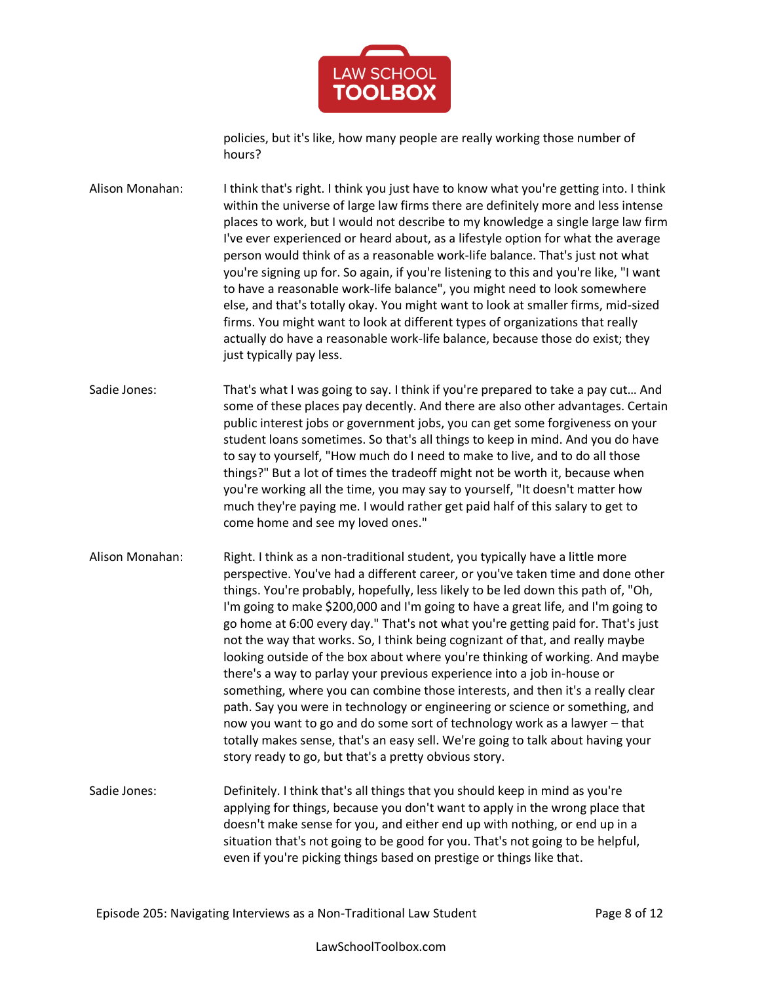

policies, but it's like, how many people are really working those number of hours?

Alison Monahan: I think that's right. I think you just have to know what you're getting into. I think within the universe of large law firms there are definitely more and less intense places to work, but I would not describe to my knowledge a single large law firm I've ever experienced or heard about, as a lifestyle option for what the average person would think of as a reasonable work-life balance. That's just not what you're signing up for. So again, if you're listening to this and you're like, "I want to have a reasonable work-life balance", you might need to look somewhere else, and that's totally okay. You might want to look at smaller firms, mid-sized firms. You might want to look at different types of organizations that really actually do have a reasonable work-life balance, because those do exist; they just typically pay less.

Sadie Jones: That's what I was going to say. I think if you're prepared to take a pay cut... And some of these places pay decently. And there are also other advantages. Certain public interest jobs or government jobs, you can get some forgiveness on your student loans sometimes. So that's all things to keep in mind. And you do have to say to yourself, "How much do I need to make to live, and to do all those things?" But a lot of times the tradeoff might not be worth it, because when you're working all the time, you may say to yourself, "It doesn't matter how much they're paying me. I would rather get paid half of this salary to get to come home and see my loved ones."

- Alison Monahan: Right. I think as a non-traditional student, you typically have a little more perspective. You've had a different career, or you've taken time and done other things. You're probably, hopefully, less likely to be led down this path of, "Oh, I'm going to make \$200,000 and I'm going to have a great life, and I'm going to go home at 6:00 every day." That's not what you're getting paid for. That's just not the way that works. So, I think being cognizant of that, and really maybe looking outside of the box about where you're thinking of working. And maybe there's a way to parlay your previous experience into a job in-house or something, where you can combine those interests, and then it's a really clear path. Say you were in technology or engineering or science or something, and now you want to go and do some sort of technology work as a lawyer – that totally makes sense, that's an easy sell. We're going to talk about having your story ready to go, but that's a pretty obvious story.
- Sadie Jones: Definitely. I think that's all things that you should keep in mind as you're applying for things, because you don't want to apply in the wrong place that doesn't make sense for you, and either end up with nothing, or end up in a situation that's not going to be good for you. That's not going to be helpful, even if you're picking things based on prestige or things like that.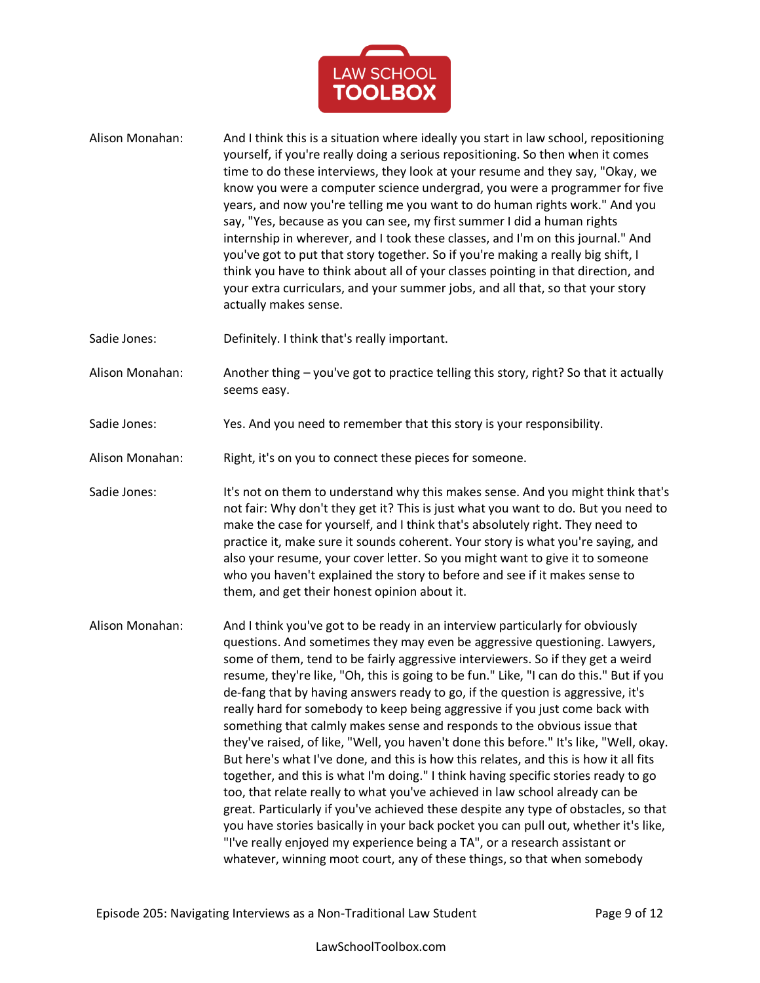

- Alison Monahan: And I think this is a situation where ideally you start in law school, repositioning yourself, if you're really doing a serious repositioning. So then when it comes time to do these interviews, they look at your resume and they say, "Okay, we know you were a computer science undergrad, you were a programmer for five years, and now you're telling me you want to do human rights work." And you say, "Yes, because as you can see, my first summer I did a human rights internship in wherever, and I took these classes, and I'm on this journal." And you've got to put that story together. So if you're making a really big shift, I think you have to think about all of your classes pointing in that direction, and your extra curriculars, and your summer jobs, and all that, so that your story actually makes sense.
- Sadie Jones: Definitely. I think that's really important.
- Alison Monahan: Another thing you've got to practice telling this story, right? So that it actually seems easy.
- Sadie Jones: Yes. And you need to remember that this story is your responsibility.
- Alison Monahan: Right, it's on you to connect these pieces for someone.
- Sadie Jones: It's not on them to understand why this makes sense. And you might think that's not fair: Why don't they get it? This is just what you want to do. But you need to make the case for yourself, and I think that's absolutely right. They need to practice it, make sure it sounds coherent. Your story is what you're saying, and also your resume, your cover letter. So you might want to give it to someone who you haven't explained the story to before and see if it makes sense to them, and get their honest opinion about it.
- Alison Monahan: And I think you've got to be ready in an interview particularly for obviously questions. And sometimes they may even be aggressive questioning. Lawyers, some of them, tend to be fairly aggressive interviewers. So if they get a weird resume, they're like, "Oh, this is going to be fun." Like, "I can do this." But if you de-fang that by having answers ready to go, if the question is aggressive, it's really hard for somebody to keep being aggressive if you just come back with something that calmly makes sense and responds to the obvious issue that they've raised, of like, "Well, you haven't done this before." It's like, "Well, okay. But here's what I've done, and this is how this relates, and this is how it all fits together, and this is what I'm doing." I think having specific stories ready to go too, that relate really to what you've achieved in law school already can be great. Particularly if you've achieved these despite any type of obstacles, so that you have stories basically in your back pocket you can pull out, whether it's like, "I've really enjoyed my experience being a TA", or a research assistant or whatever, winning moot court, any of these things, so that when somebody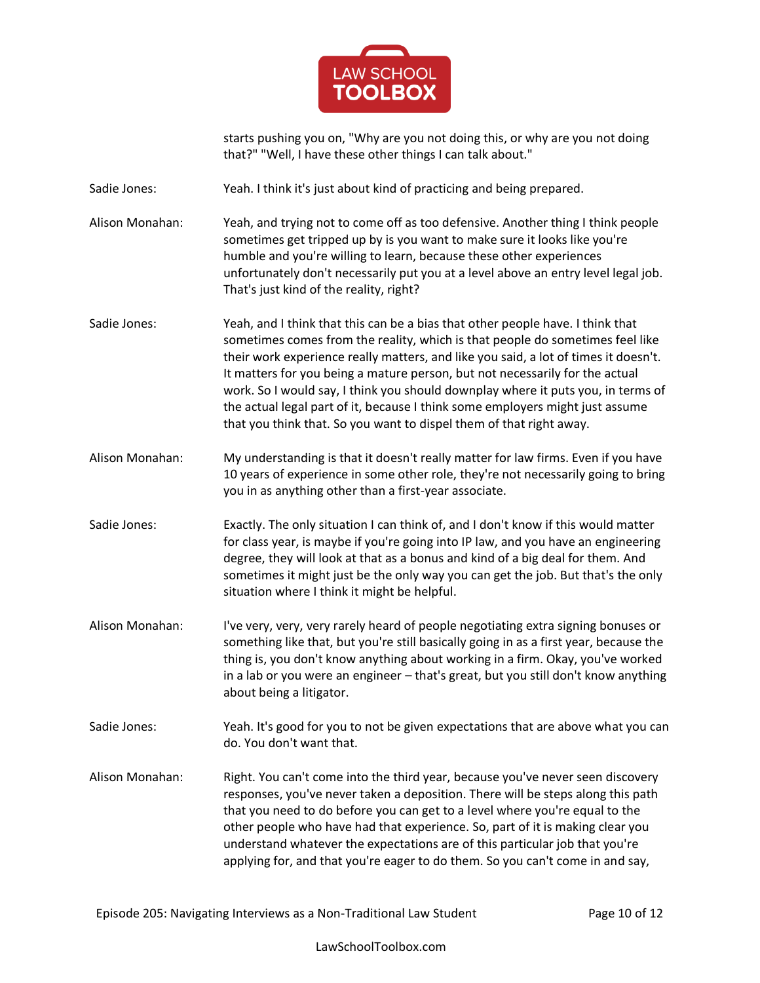

starts pushing you on, "Why are you not doing this, or why are you not doing that?" "Well, I have these other things I can talk about."

Sadie Jones: Yeah. I think it's just about kind of practicing and being prepared.

Alison Monahan: Yeah, and trying not to come off as too defensive. Another thing I think people sometimes get tripped up by is you want to make sure it looks like you're humble and you're willing to learn, because these other experiences unfortunately don't necessarily put you at a level above an entry level legal job. That's just kind of the reality, right?

- Sadie Jones: Yeah, and I think that this can be a bias that other people have. I think that sometimes comes from the reality, which is that people do sometimes feel like their work experience really matters, and like you said, a lot of times it doesn't. It matters for you being a mature person, but not necessarily for the actual work. So I would say, I think you should downplay where it puts you, in terms of the actual legal part of it, because I think some employers might just assume that you think that. So you want to dispel them of that right away.
- Alison Monahan: My understanding is that it doesn't really matter for law firms. Even if you have 10 years of experience in some other role, they're not necessarily going to bring you in as anything other than a first-year associate.

Sadie Jones: Exactly. The only situation I can think of, and I don't know if this would matter for class year, is maybe if you're going into IP law, and you have an engineering degree, they will look at that as a bonus and kind of a big deal for them. And sometimes it might just be the only way you can get the job. But that's the only situation where I think it might be helpful.

- Alison Monahan: I've very, very, very rarely heard of people negotiating extra signing bonuses or something like that, but you're still basically going in as a first year, because the thing is, you don't know anything about working in a firm. Okay, you've worked in a lab or you were an engineer – that's great, but you still don't know anything about being a litigator.
- Sadie Jones: Yeah. It's good for you to not be given expectations that are above what you can do. You don't want that.
- Alison Monahan: Right. You can't come into the third year, because you've never seen discovery responses, you've never taken a deposition. There will be steps along this path that you need to do before you can get to a level where you're equal to the other people who have had that experience. So, part of it is making clear you understand whatever the expectations are of this particular job that you're applying for, and that you're eager to do them. So you can't come in and say,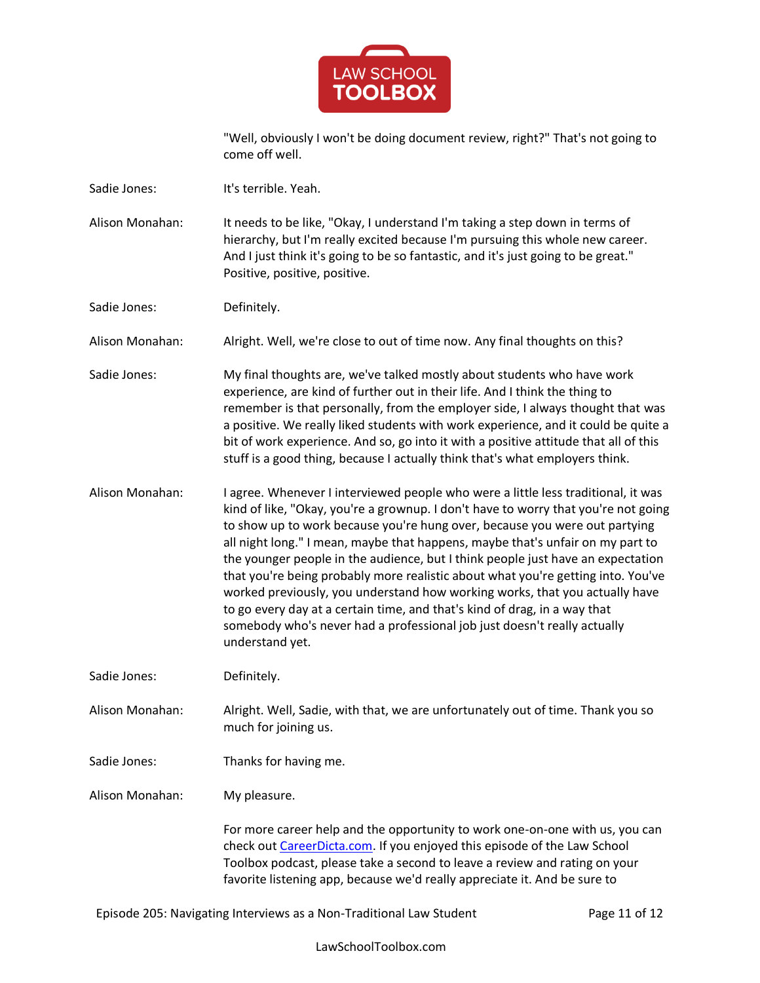

"Well, obviously I won't be doing document review, right?" That's not going to come off well.

- Sadie Jones: It's terrible. Yeah.
- Alison Monahan: It needs to be like, "Okay, I understand I'm taking a step down in terms of hierarchy, but I'm really excited because I'm pursuing this whole new career. And I just think it's going to be so fantastic, and it's just going to be great." Positive, positive, positive.
- Sadie Jones: Definitely.

Alison Monahan: Alright. Well, we're close to out of time now. Any final thoughts on this?

- Sadie Jones: My final thoughts are, we've talked mostly about students who have work experience, are kind of further out in their life. And I think the thing to remember is that personally, from the employer side, I always thought that was a positive. We really liked students with work experience, and it could be quite a bit of work experience. And so, go into it with a positive attitude that all of this stuff is a good thing, because I actually think that's what employers think.
- Alison Monahan: I agree. Whenever I interviewed people who were a little less traditional, it was kind of like, "Okay, you're a grownup. I don't have to worry that you're not going to show up to work because you're hung over, because you were out partying all night long." I mean, maybe that happens, maybe that's unfair on my part to the younger people in the audience, but I think people just have an expectation that you're being probably more realistic about what you're getting into. You've worked previously, you understand how working works, that you actually have to go every day at a certain time, and that's kind of drag, in a way that somebody who's never had a professional job just doesn't really actually understand yet.

Sadie Jones: Definitely.

- Alison Monahan: Alright. Well, Sadie, with that, we are unfortunately out of time. Thank you so much for joining us.
- Sadie Jones: Thanks for having me.

Alison Monahan: My pleasure.

For more career help and the opportunity to work one-on-one with us, you can check out [CareerDicta.com.](https://lawschooltoolbox.com/careerdicta/) If you enjoyed this episode of the Law School Toolbox podcast, please take a second to leave a review and rating on your favorite listening app, because we'd really appreciate it. And be sure to